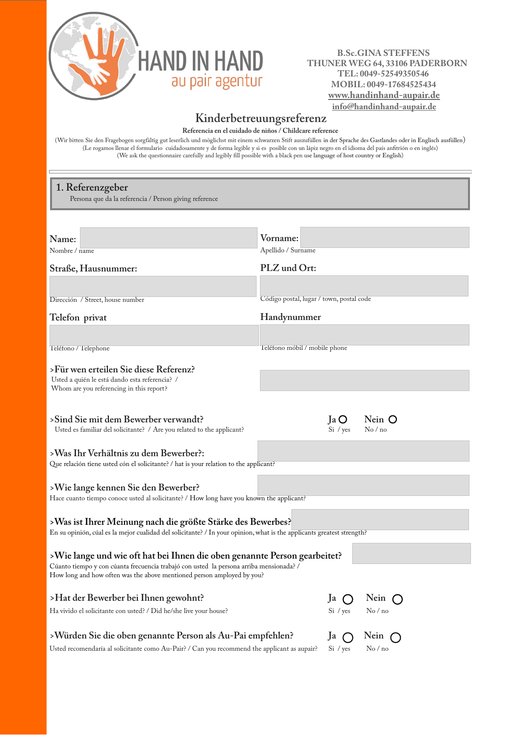

## **B.Sc.GINA STEFFENS HAND IN HAND** B.S.C.GINA STEFFENS THUNER WEG 64, 33106 PADERBORN  **TEL: 0049-52549350546 MOBIL: 0049-17684525434 www.handinhand-aupair.de info@handinhand-aupair.de**

## **Kinderbetreuungsreferenz**

**Referencia en el cuidado de niños / Childcare reference**

(Wir bitten Sie den Fragebogen sorgfältig gut leserlich und möglichst mit einem schwarzen Stift auszufüllen in der Sprache des Gastlandes oder in Englisch ausfüllen) (Le rogamos llenar el formulario cuidadosamente y de forma legible y si es posible con un lápiz negro en el idioma del país anfitrión o en inglés) (We ask the questionnaire carefully and legibly fill possible with a black pen use language of host country or English)

## **1. Referenzgeber**

Persona que da la referencia / Person giving reference

| Name:                                                                                                                                                             | Vorname:                                 |  |  |  |
|-------------------------------------------------------------------------------------------------------------------------------------------------------------------|------------------------------------------|--|--|--|
| Nombre / name                                                                                                                                                     | Apellido / Surname                       |  |  |  |
| Straße, Hausnummer:                                                                                                                                               | PLZ und Ort:                             |  |  |  |
|                                                                                                                                                                   |                                          |  |  |  |
| Dirección / Street, house number                                                                                                                                  | Código postal, lugar / town, postal code |  |  |  |
| Telefon privat                                                                                                                                                    | Handynummer                              |  |  |  |
|                                                                                                                                                                   |                                          |  |  |  |
| Teléfono / Telephone                                                                                                                                              | Teléfono móbil / mobile phone            |  |  |  |
| >Für wen erteilen Sie diese Referenz?                                                                                                                             |                                          |  |  |  |
| Usted a quién le está dando esta referencia? /                                                                                                                    |                                          |  |  |  |
| Whom are you referencing in this report?                                                                                                                          |                                          |  |  |  |
| >Sind Sie mit dem Bewerber verwandt?                                                                                                                              | Nein O<br>a <sub>0</sub>                 |  |  |  |
| Usted es familiar del solicitante? / Are you related to the applicant?                                                                                            | Si / yes<br>No/no                        |  |  |  |
|                                                                                                                                                                   |                                          |  |  |  |
| >Was Ihr Verhältnis zu dem Bewerber?:<br>Que relación tiene usted cón el solicitante? / hat is your relation to the applicant?                                    |                                          |  |  |  |
|                                                                                                                                                                   |                                          |  |  |  |
| >Wie lange kennen Sie den Bewerber?                                                                                                                               |                                          |  |  |  |
| Hace cuanto tiempo conoce usted al solicitante? / How long have you known the applicant?                                                                          |                                          |  |  |  |
| >Was ist Ihrer Meinung nach die größte Stärke des Bewerbes?                                                                                                       |                                          |  |  |  |
| En su opinión, cúal es la mejor cualidad del solicitante? / In your opinion, what is the applicants greatest strength?                                            |                                          |  |  |  |
| >Wie lange und wie oft hat bei Ihnen die oben genannte Person gearbeitet?                                                                                         |                                          |  |  |  |
| Cúanto tiempo y con cúanta frecuencia trabajó con usted la persona arriba mensionada? /<br>How long and how often was the above mentioned person amployed by you? |                                          |  |  |  |
| >Hat der Bewerber bei Ihnen gewohnt?                                                                                                                              | Nein $\bigcap$<br>Ja                     |  |  |  |
| Ha vivido el solicitante con usted? / Did he/she live your house?                                                                                                 | Si / yes<br>$\mathrm{No}$ / no           |  |  |  |
|                                                                                                                                                                   |                                          |  |  |  |
| >Würden Sie die oben genannte Person als Au-Pai empfehlen?                                                                                                        | Nein $\bigcap$<br>Ja $\bigcap$           |  |  |  |
|                                                                                                                                                                   |                                          |  |  |  |

Usted recomendaría al solicitante como Au-Pair? / Can you recommend the applicant as aupair? Si / yes No / no